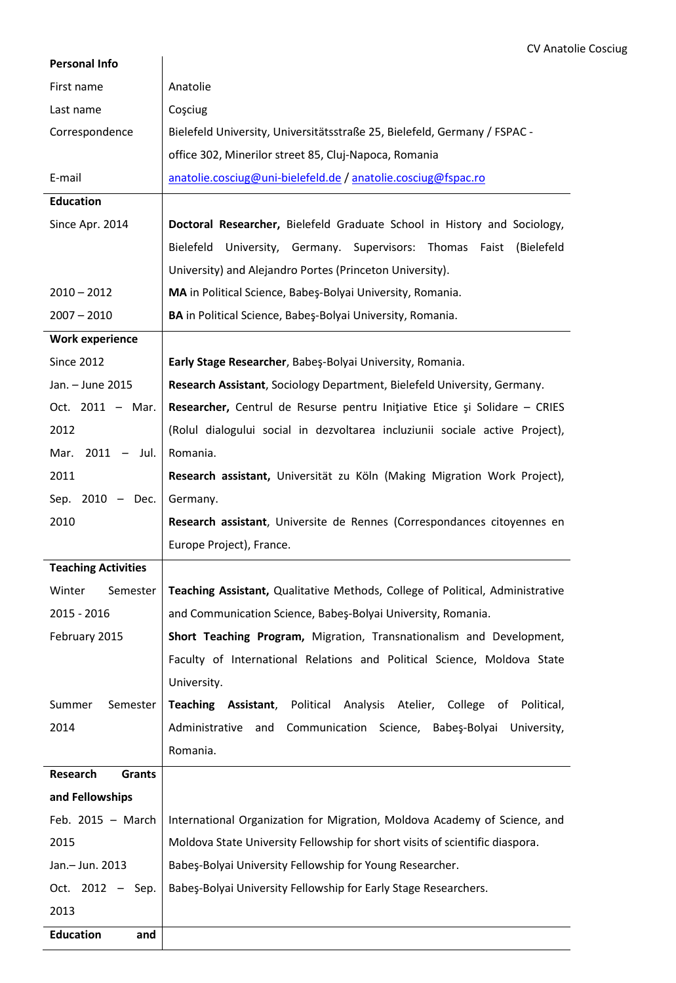| <b>Personal Info</b>       |                                                                                  |
|----------------------------|----------------------------------------------------------------------------------|
| First name                 | Anatolie                                                                         |
| Last name                  | Coşciug                                                                          |
| Correspondence             | Bielefeld University, Universitätsstraße 25, Bielefeld, Germany / FSPAC -        |
|                            | office 302, Minerilor street 85, Cluj-Napoca, Romania                            |
| E-mail                     | anatolie.cosciug@uni-bielefeld.de / anatolie.cosciug@fspac.ro                    |
| <b>Education</b>           |                                                                                  |
| Since Apr. 2014            | Doctoral Researcher, Bielefeld Graduate School in History and Sociology,         |
|                            | <b>Bielefeld</b><br>University, Germany. Supervisors: Thomas Faist<br>(Bielefeld |
|                            | University) and Alejandro Portes (Princeton University).                         |
| $2010 - 2012$              | MA in Political Science, Babeş-Bolyai University, Romania.                       |
| $2007 - 2010$              | BA in Political Science, Babes-Bolyai University, Romania.                       |
| <b>Work experience</b>     |                                                                                  |
| <b>Since 2012</b>          | Early Stage Researcher, Babeş-Bolyai University, Romania.                        |
| Jan. - June 2015           | Research Assistant, Sociology Department, Bielefeld University, Germany.         |
| Oct. 2011 - Mar.           | Researcher, Centrul de Resurse pentru Inițiative Etice și Solidare - CRIES       |
| 2012                       | (Rolul dialogului social in dezvoltarea incluziunii sociale active Project),     |
| $2011 - Jul.$<br>Mar.      | Romania.                                                                         |
| 2011                       | Research assistant, Universität zu Köln (Making Migration Work Project),         |
| Sep. $2010 - Dec.$         | Germany.                                                                         |
| 2010                       | Research assistant, Universite de Rennes (Correspondances citoyennes en          |
|                            | Europe Project), France.                                                         |
| <b>Teaching Activities</b> |                                                                                  |
| Winter<br>Semester         | Teaching Assistant, Qualitative Methods, College of Political, Administrative    |
| 2015 - 2016                | and Communication Science, Babeş-Bolyai University, Romania.                     |
| February 2015              | Short Teaching Program, Migration, Transnationalism and Development,             |
|                            | Faculty of International Relations and Political Science, Moldova State          |
|                            | University.                                                                      |
| Summer<br>Semester         | Teaching Assistant, Political<br>Analysis Atelier,<br>College of Political,      |
| 2014                       | Administrative<br>Communication Science,<br>Babeş-Bolyai<br>and<br>University,   |
|                            | Romania.                                                                         |
| Research<br>Grants         |                                                                                  |
| and Fellowships            |                                                                                  |
| Feb. $2015 - March$        | International Organization for Migration, Moldova Academy of Science, and        |
| 2015                       | Moldova State University Fellowship for short visits of scientific diaspora.     |
| Jan.- Jun. 2013            | Babeş-Bolyai University Fellowship for Young Researcher.                         |
| Oct. 2012 - Sep.           | Babeş-Bolyai University Fellowship for Early Stage Researchers.                  |
| 2013                       |                                                                                  |
| <b>Education</b><br>and    |                                                                                  |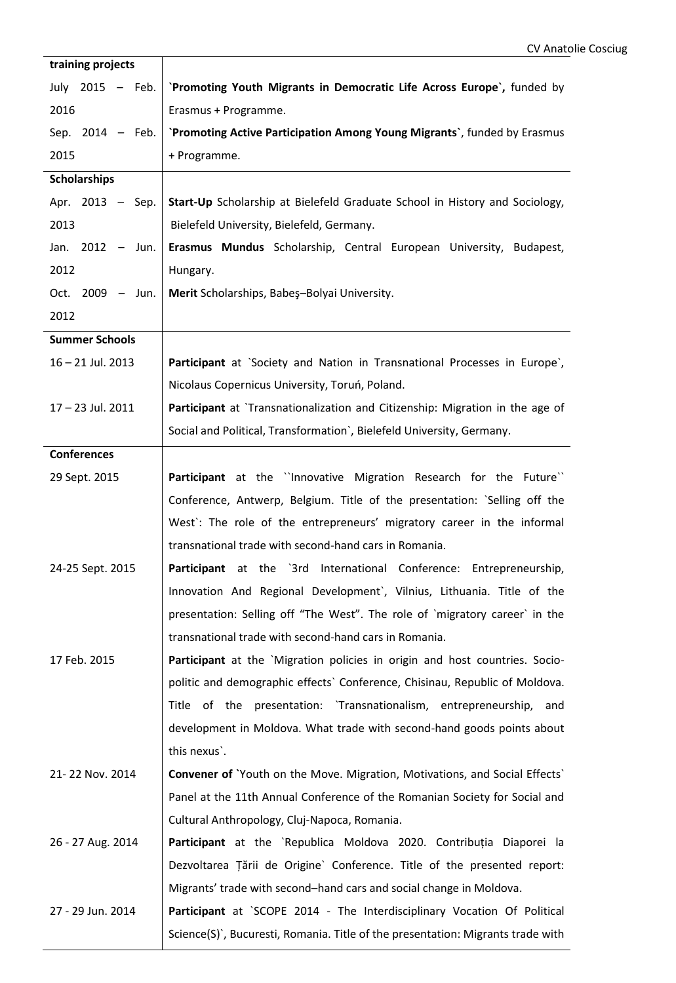| training projects     |                                                                                 |
|-----------------------|---------------------------------------------------------------------------------|
| July 2015 - Feb.      | `Promoting Youth Migrants in Democratic Life Across Europe`, funded by          |
| 2016                  | Erasmus + Programme.                                                            |
| Sep. 2014 - Feb.      | 'Promoting Active Participation Among Young Migrants', funded by Erasmus        |
| 2015                  | + Programme.                                                                    |
| <b>Scholarships</b>   |                                                                                 |
| Apr. 2013 - Sep.      | Start-Up Scholarship at Bielefeld Graduate School in History and Sociology,     |
| 2013                  | Bielefeld University, Bielefeld, Germany.                                       |
| Jan. $2012 -$ Jun.    | Erasmus Mundus Scholarship, Central European University, Budapest,              |
| 2012                  | Hungary.                                                                        |
| Oct. 2009 - Jun.      | Merit Scholarships, Babes-Bolyai University.                                    |
| 2012                  |                                                                                 |
| <b>Summer Schools</b> |                                                                                 |
| 16-21 Jul. 2013       | Participant at `Society and Nation in Transnational Processes in Europe`,       |
|                       | Nicolaus Copernicus University, Toruń, Poland.                                  |
| 17-23 Jul. 2011       | Participant at `Transnationalization and Citizenship: Migration in the age of   |
|                       | Social and Political, Transformation`, Bielefeld University, Germany.           |
| <b>Conferences</b>    |                                                                                 |
| 29 Sept. 2015         | Participant at the "Innovative Migration Research for the Future"               |
|                       | Conference, Antwerp, Belgium. Title of the presentation: `Selling off the       |
|                       | West': The role of the entrepreneurs' migratory career in the informal          |
|                       | transnational trade with second-hand cars in Romania.                           |
| 24-25 Sept. 2015      | Participant at the '3rd International Conference: Entrepreneurship,             |
|                       | Innovation And Regional Development', Vilnius, Lithuania. Title of the          |
|                       | presentation: Selling off "The West". The role of `migratory career` in the     |
|                       | transnational trade with second-hand cars in Romania.                           |
| 17 Feb. 2015          | Participant at the `Migration policies in origin and host countries. Socio-     |
|                       | politic and demographic effects' Conference, Chisinau, Republic of Moldova.     |
|                       | Title of the presentation: `Transnationalism, entrepreneurship, and             |
|                       | development in Moldova. What trade with second-hand goods points about          |
|                       | this nexus'.                                                                    |
| 21-22 Nov. 2014       | Convener of 'Youth on the Move. Migration, Motivations, and Social Effects'     |
|                       | Panel at the 11th Annual Conference of the Romanian Society for Social and      |
|                       | Cultural Anthropology, Cluj-Napoca, Romania.                                    |
| 26 - 27 Aug. 2014     | Participant at the `Republica Moldova 2020. Contribuția Diaporei la             |
|                       | Dezvoltarea Țării de Origine` Conference. Title of the presented report:        |
|                       | Migrants' trade with second-hand cars and social change in Moldova.             |
| 27 - 29 Jun. 2014     | Participant at `SCOPE 2014 - The Interdisciplinary Vocation Of Political        |
|                       | Science(S)', Bucuresti, Romania. Title of the presentation: Migrants trade with |